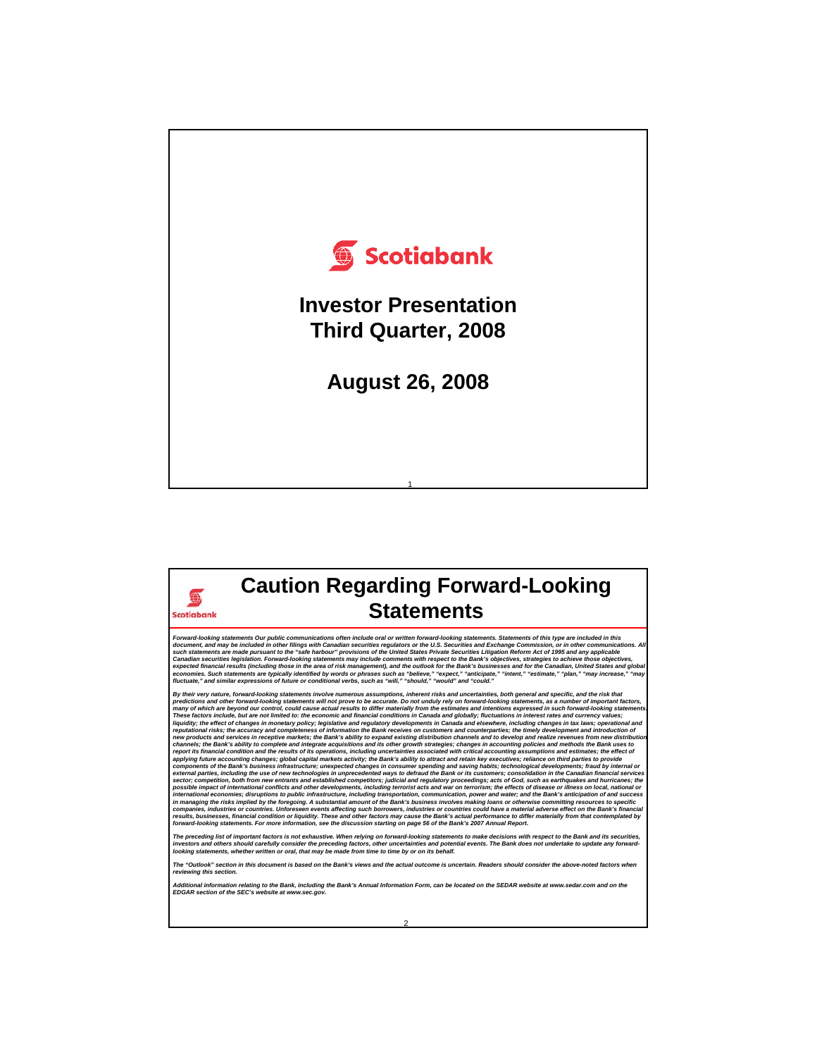

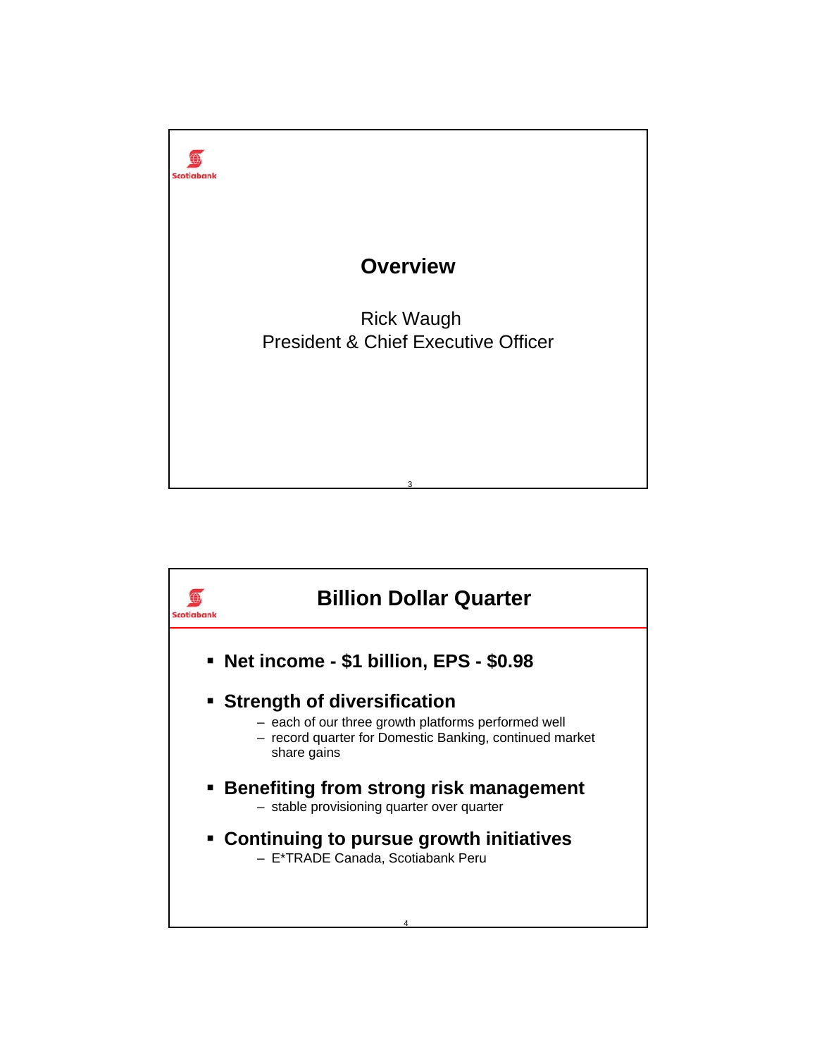

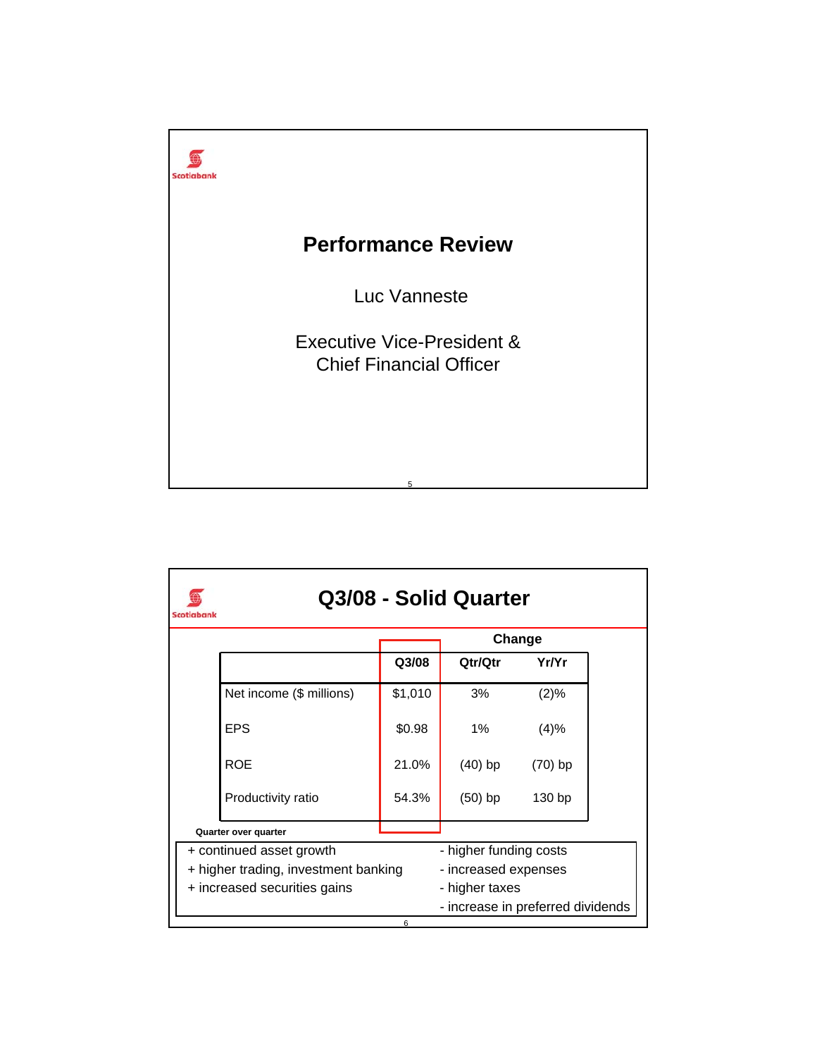

| Scotiabanl |                                      |         | Q3/08 - Solid Quarter             |           |  |
|------------|--------------------------------------|---------|-----------------------------------|-----------|--|
|            |                                      |         |                                   | Change    |  |
|            |                                      | Q3/08   | Qtr/Qtr                           | Yr/Yr     |  |
|            | Net income (\$ millions)             | \$1,010 | 3%                                | (2)%      |  |
|            | <b>EPS</b>                           | \$0.98  | 1%                                | (4)%      |  |
|            | <b>ROE</b>                           | 21.0%   | $(40)$ bp                         | $(70)$ bp |  |
|            | Productivity ratio                   | 54.3%   | $(50)$ bp                         | 130 bp    |  |
|            | Quarter over quarter                 |         |                                   |           |  |
|            | + continued asset growth             |         | - higher funding costs            |           |  |
|            | + higher trading, investment banking |         | - increased expenses              |           |  |
|            | + increased securities gains         |         | - higher taxes                    |           |  |
|            |                                      |         | - increase in preferred dividends |           |  |
|            |                                      | 6       |                                   |           |  |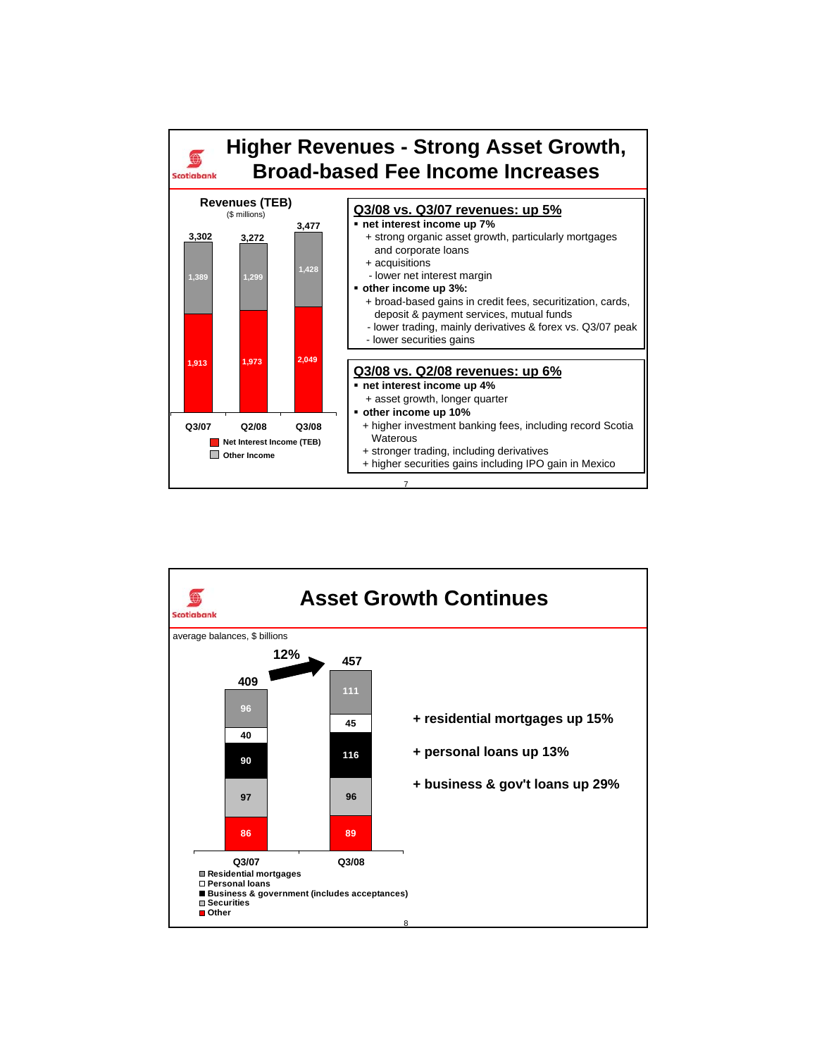

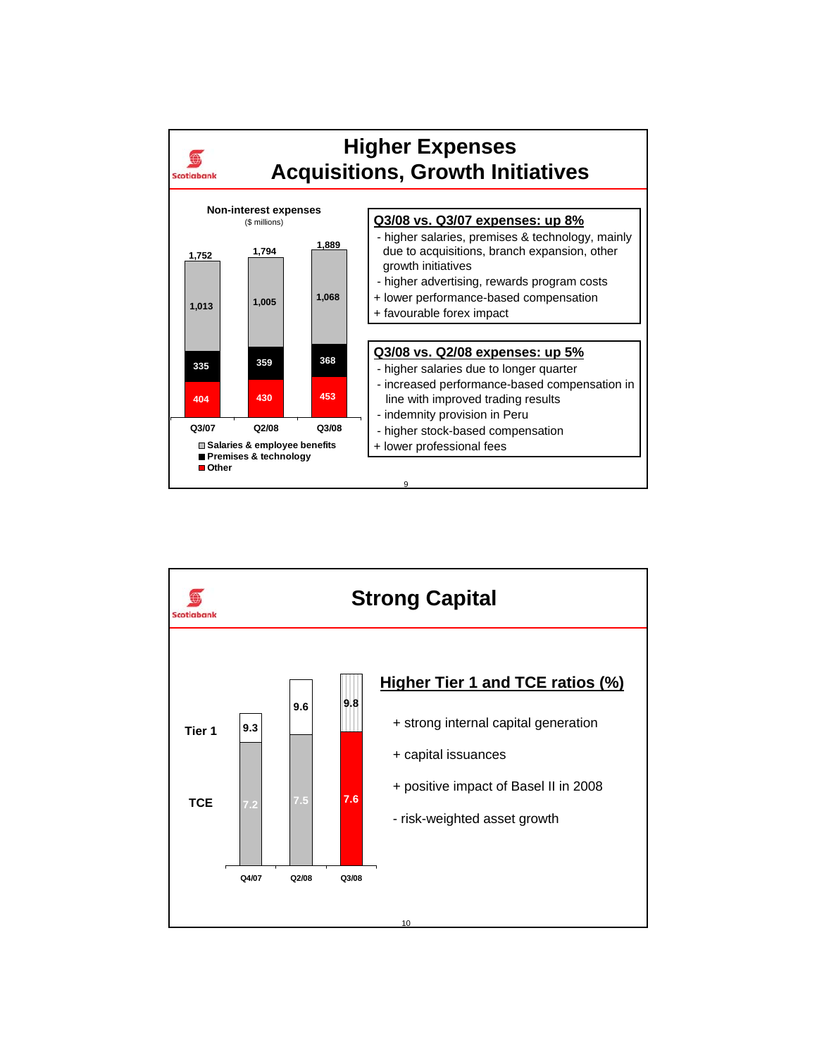

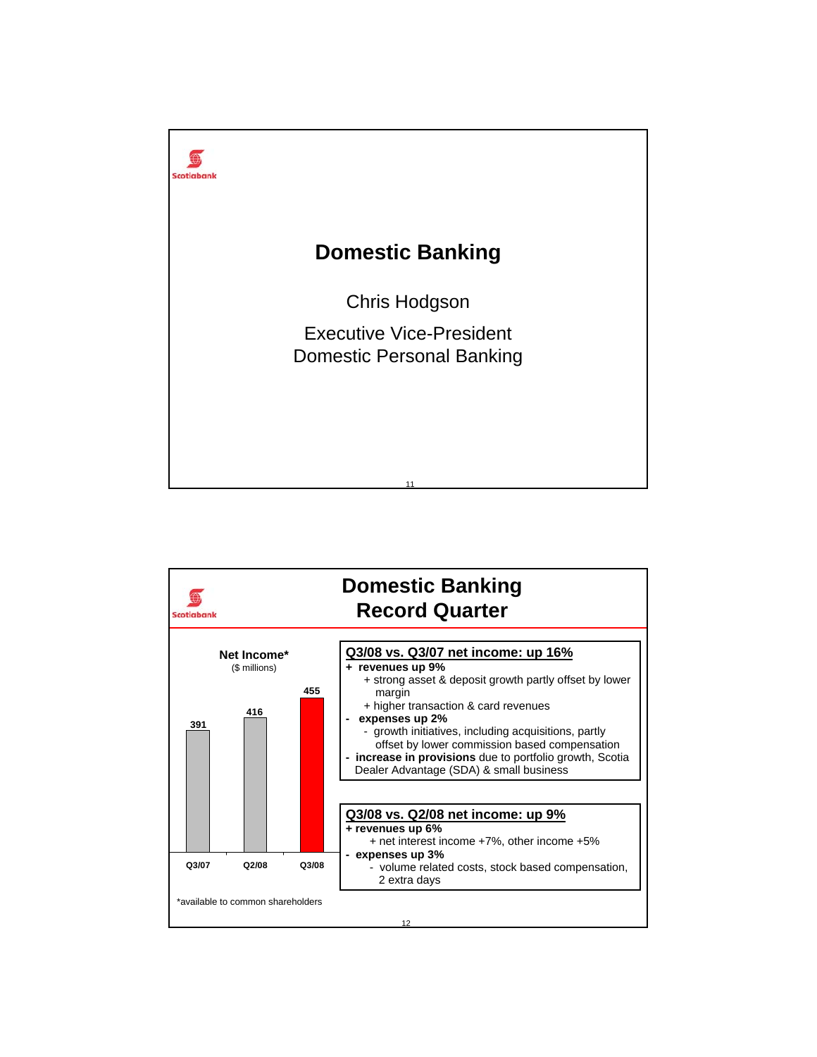

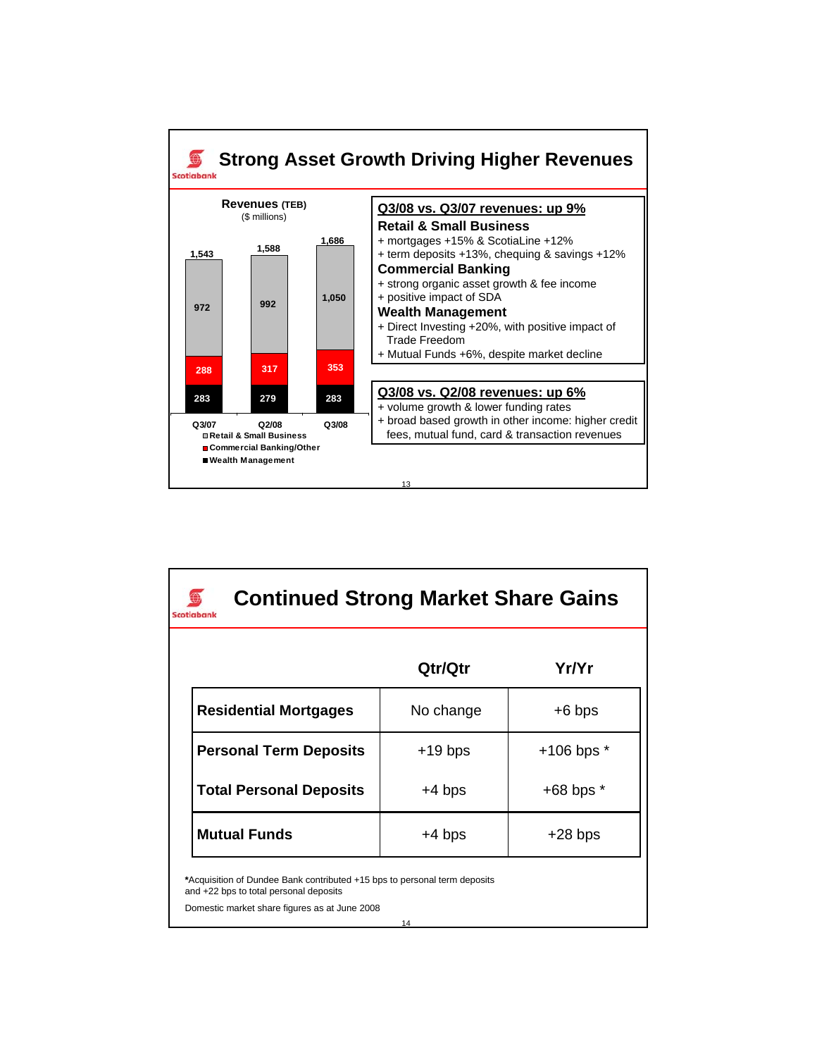

| <b>Continued Strong Market Share Gains</b><br>Scotiabank                                                                                                                   |           |                |  |  |  |  |
|----------------------------------------------------------------------------------------------------------------------------------------------------------------------------|-----------|----------------|--|--|--|--|
|                                                                                                                                                                            | Qtr/Qtr   | Yr/Yr          |  |  |  |  |
| <b>Residential Mortgages</b>                                                                                                                                               | No change | $+6$ bps       |  |  |  |  |
| <b>Personal Term Deposits</b>                                                                                                                                              | $+19$ bps | $+106$ bps $*$ |  |  |  |  |
| <b>Total Personal Deposits</b>                                                                                                                                             | +4 bps    | $+68$ bps $*$  |  |  |  |  |
| <b>Mutual Funds</b><br>$+4$ bps<br>$+28$ bps                                                                                                                               |           |                |  |  |  |  |
| *Acquisition of Dundee Bank contributed +15 bps to personal term deposits<br>and +22 bps to total personal deposits<br>Domestic market share figures as at June 2008<br>14 |           |                |  |  |  |  |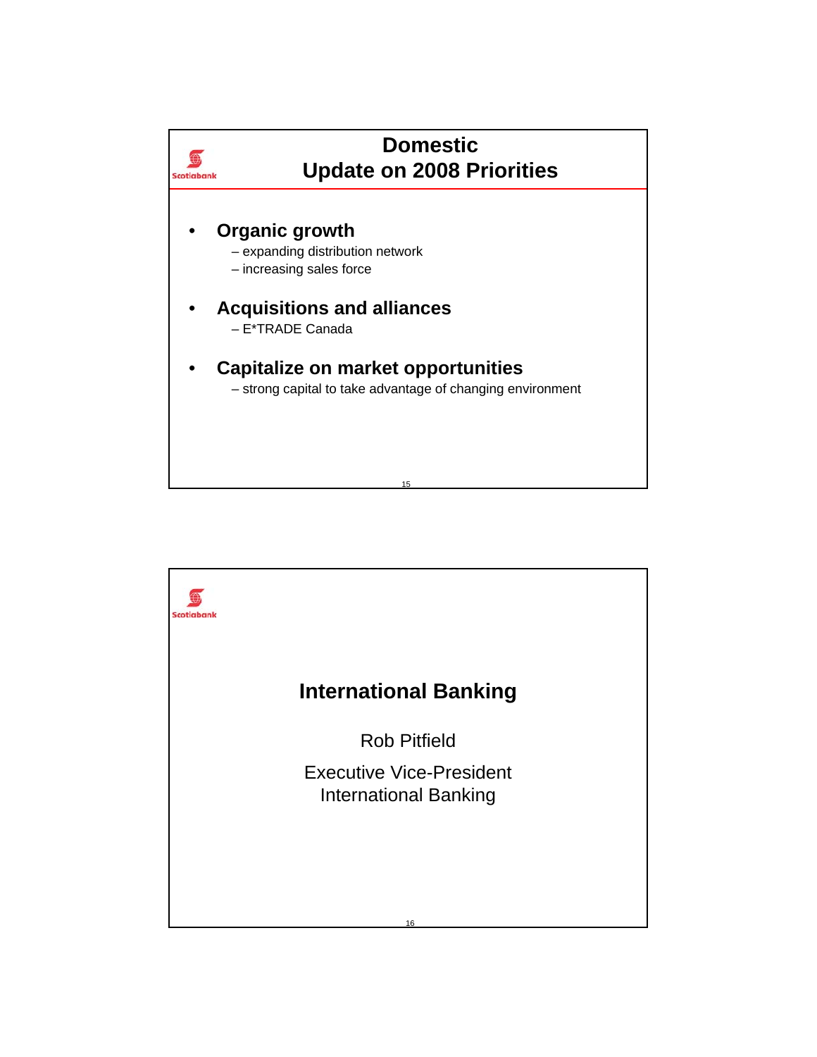

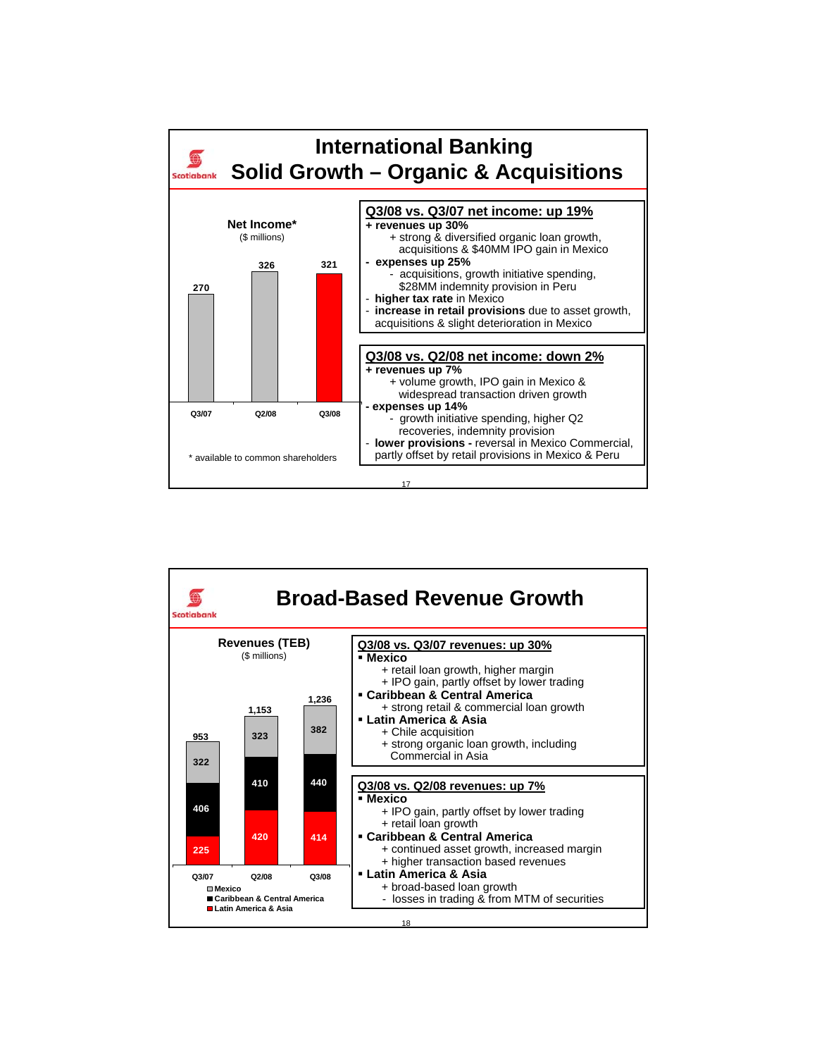

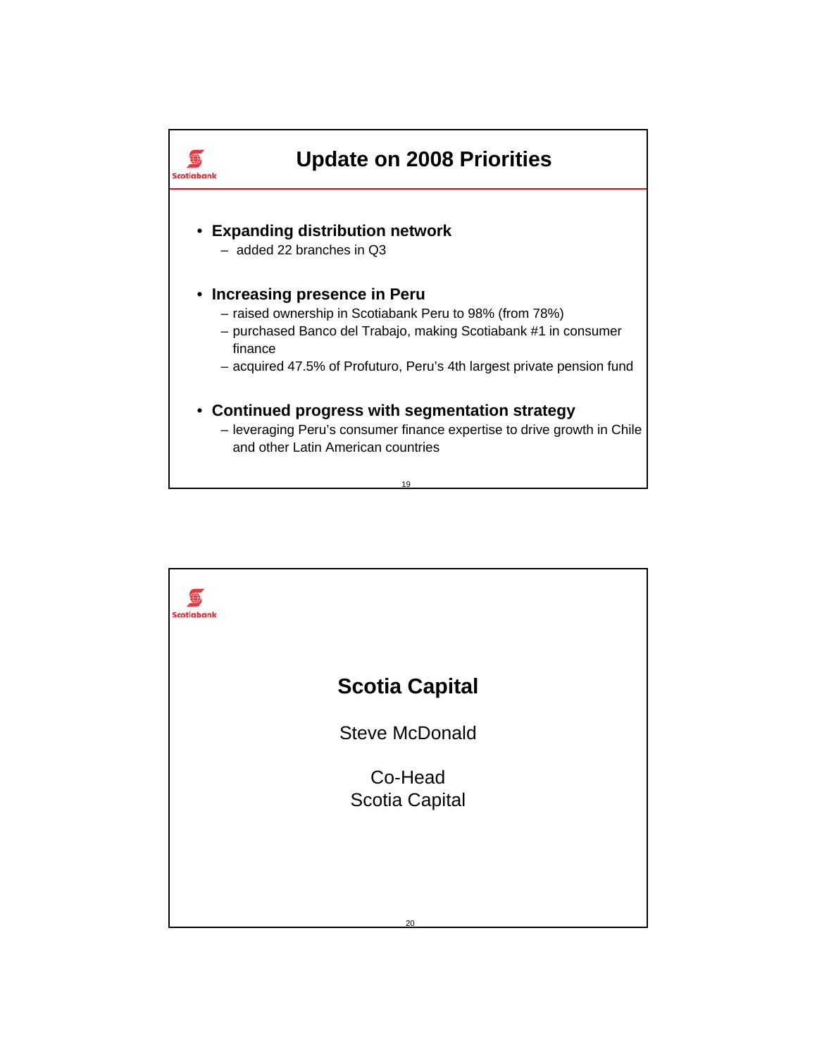

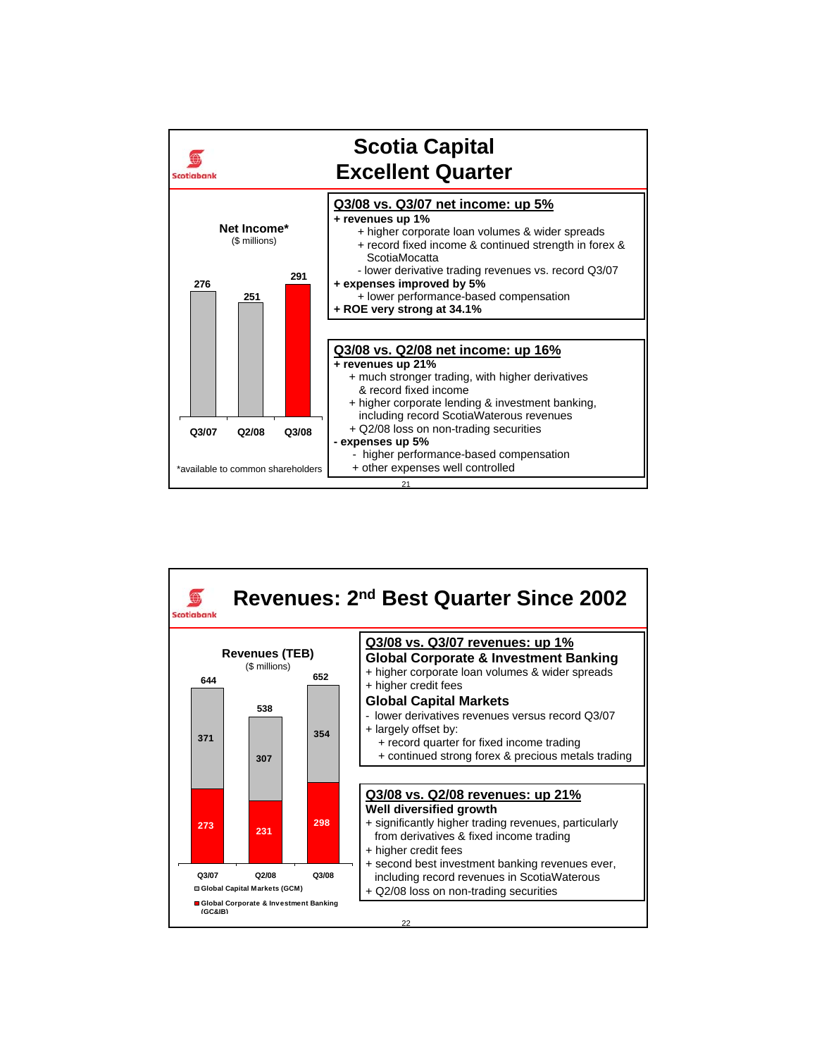

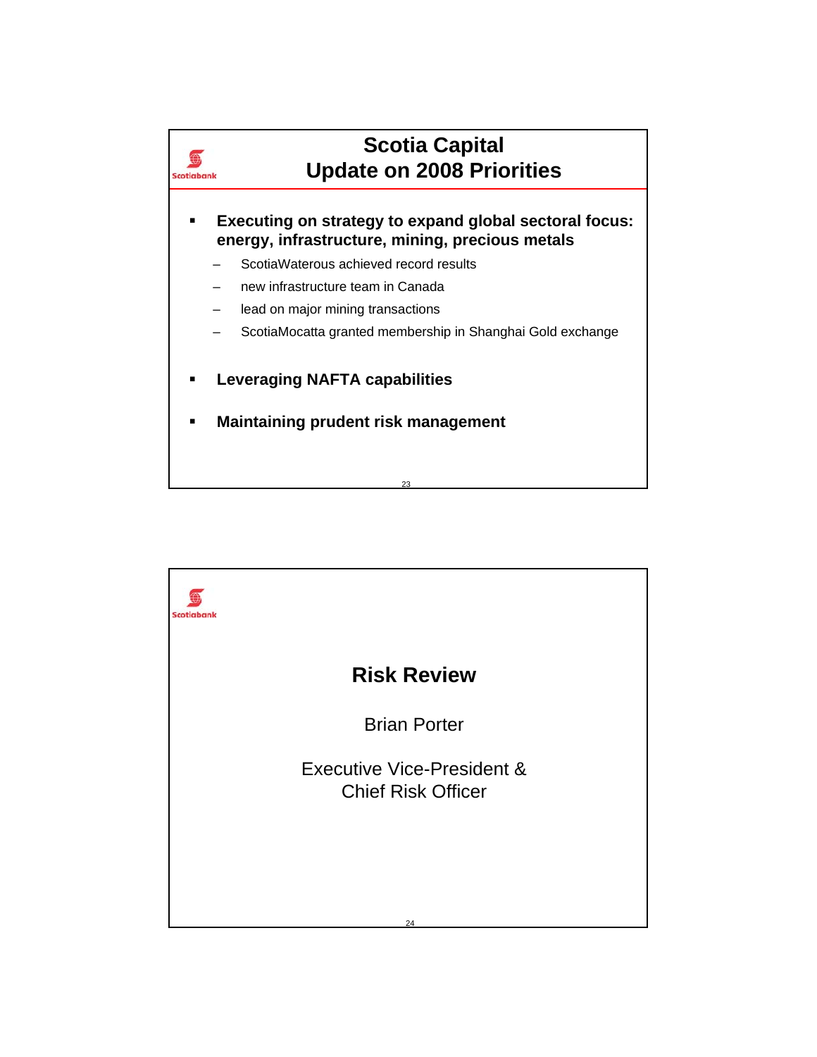

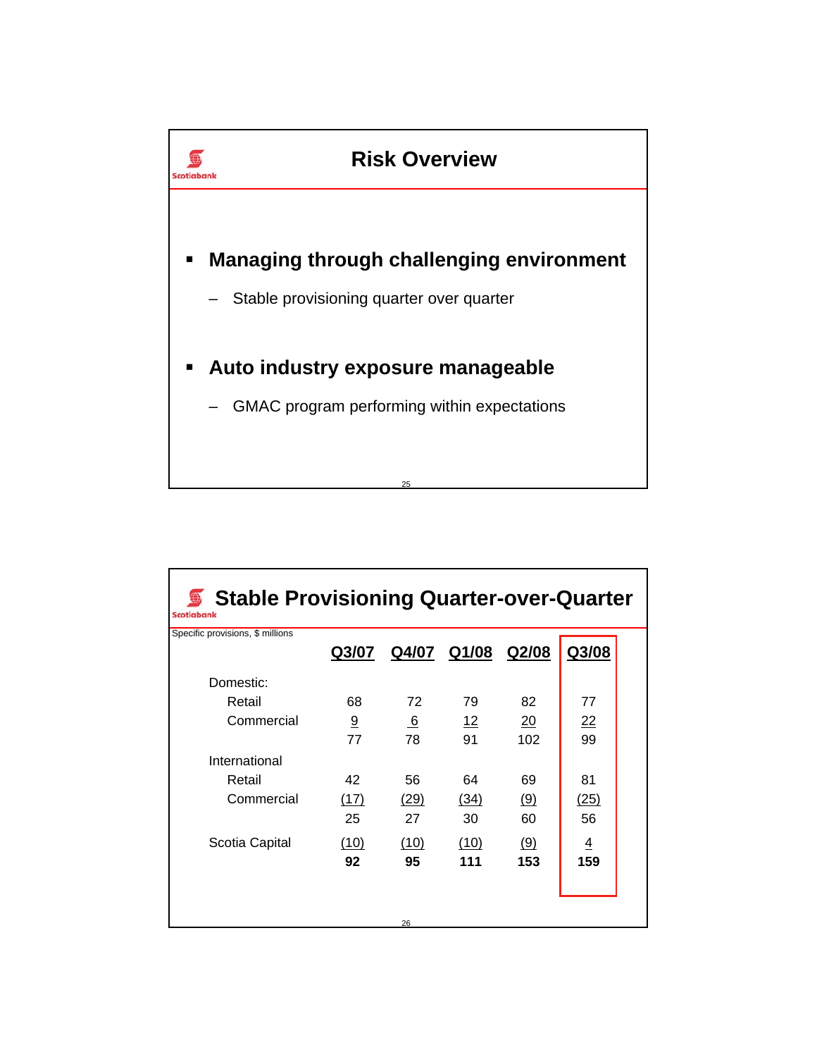

| Stable Provisioning Quarter-over-Quarter §<br><b>Scotiabank</b> |       |      |                   |     |                |  |  |
|-----------------------------------------------------------------|-------|------|-------------------|-----|----------------|--|--|
| Specific provisions, \$ millions                                | Q3/07 |      | Q4/07 Q1/08 Q2/08 |     | Q3/08          |  |  |
| Domestic:                                                       |       |      |                   |     |                |  |  |
| Retail                                                          | 68    | 72   | 79                | 82  | 77             |  |  |
| Commercial                                                      | 9     | 6    | 12                | 20  | 22             |  |  |
|                                                                 | 77    | 78   | 91                | 102 | 99             |  |  |
| International                                                   |       |      |                   |     |                |  |  |
| Retail                                                          | 42    | 56   | 64                | 69  | 81             |  |  |
| Commercial                                                      | (17)  | (29) | (34)              | (9) | (25)           |  |  |
|                                                                 | 25    | 27   | 30                | 60  | 56             |  |  |
| Scotia Capital                                                  | (10)  | (10) | (10)              | (9) | $\overline{4}$ |  |  |
|                                                                 | 92    | 95   | 111               | 153 | 159            |  |  |
|                                                                 |       |      |                   |     |                |  |  |
|                                                                 |       |      |                   |     |                |  |  |
|                                                                 |       | 26   |                   |     |                |  |  |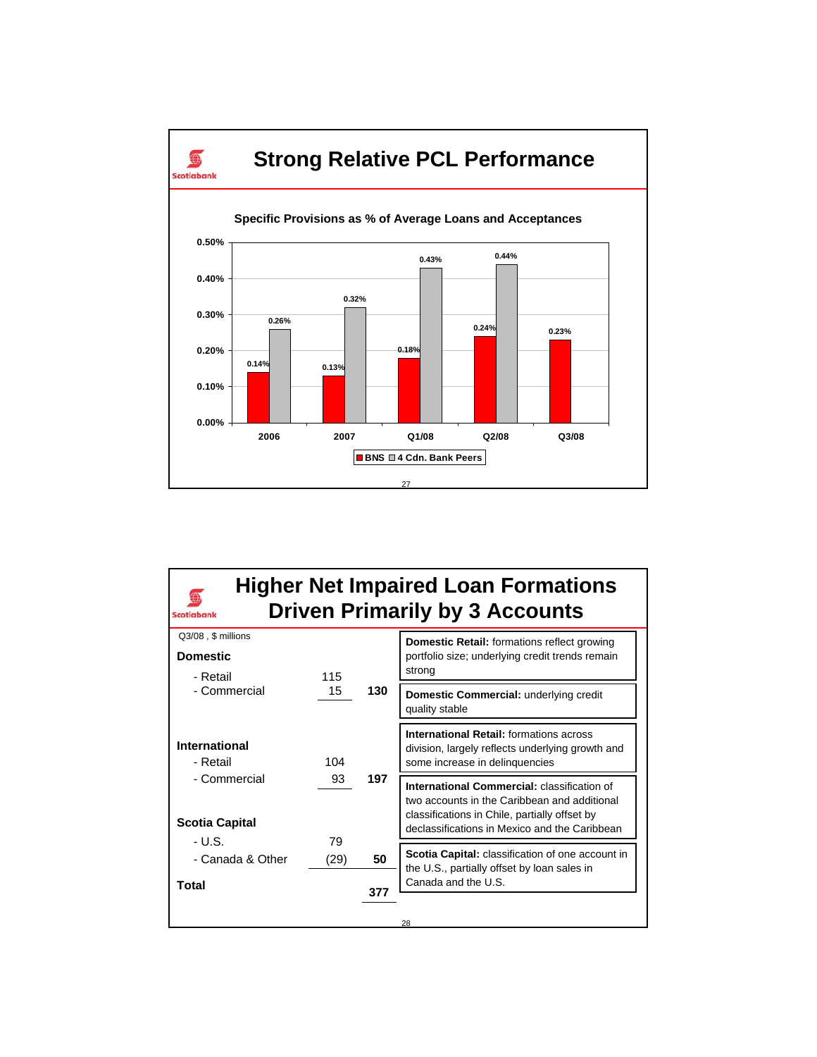

| <b>Scotiabank</b>           |      |     | <b>Higher Net Impaired Loan Formations</b><br><b>Driven Primarily by 3 Accounts</b>                                                  |
|-----------------------------|------|-----|--------------------------------------------------------------------------------------------------------------------------------------|
| Q3/08, \$ millions          |      |     | <b>Domestic Retail:</b> formations reflect growing                                                                                   |
| <b>Domestic</b><br>- Retail | 115  |     | portfolio size; underlying credit trends remain<br>strong                                                                            |
| - Commercial                | 15   | 130 | Domestic Commercial: underlying credit<br>quality stable                                                                             |
| International<br>- Retail   | 104  |     | <b>International Retail: formations across</b><br>division, largely reflects underlying growth and<br>some increase in delinquencies |
| - Commercial                | 93   | 197 | International Commercial: classification of<br>two accounts in the Caribbean and additional                                          |
| <b>Scotia Capital</b>       |      |     | classifications in Chile, partially offset by<br>declassifications in Mexico and the Caribbean                                       |
| - U.S.                      | 79   |     |                                                                                                                                      |
| - Canada & Other            | (29) | 50  | Scotia Capital: classification of one account in<br>the U.S., partially offset by loan sales in                                      |
| Total                       |      | 377 | Canada and the U.S.                                                                                                                  |
|                             |      |     | 28                                                                                                                                   |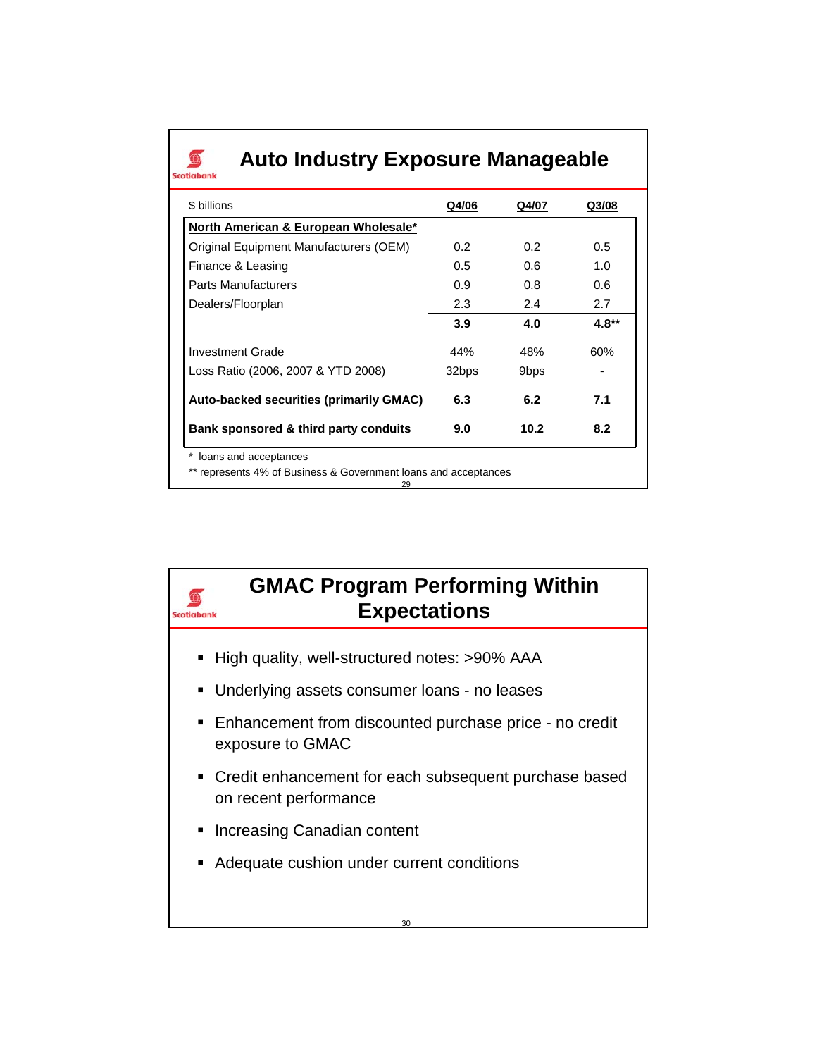## **Auto Industry Exposure Manageable**

 $\bigcirc$ Scotlabank

 $\bigoplus$ Scotiabank

| \$ billions                             | Q4/06 | Q4/07            | Q3/08 |
|-----------------------------------------|-------|------------------|-------|
| North American & European Wholesale*    |       |                  |       |
| Original Equipment Manufacturers (OEM)  | 0.2   | 0.2              | 0.5   |
| Finance & Leasing                       | 0.5   | 0.6              | 1.0   |
| <b>Parts Manufacturers</b>              | 0.9   | 0.8              | 0.6   |
| Dealers/Floorplan                       | 2.3   | 2.4              | 2.7   |
|                                         | 3.9   | 4.0              | 4.8** |
| Investment Grade                        | 44%   | 48%              | 60%   |
| Loss Ratio (2006, 2007 & YTD 2008)      | 32bps | 9 <sub>bps</sub> |       |
| Auto-backed securities (primarily GMAC) | 6.3   | 6.2              | 7.1   |
| Bank sponsored & third party conduits   | 9.0   | 10.2             | 8.2   |

29

## **GMAC Program Performing Within Expectations**

- High quality, well-structured notes: >90% AAA
- **Underlying assets consumer loans no leases**
- Enhancement from discounted purchase price no credit exposure to GMAC
- **Credit enhancement for each subsequent purchase based** on recent performance
- **Increasing Canadian content**
- **Adequate cushion under current conditions**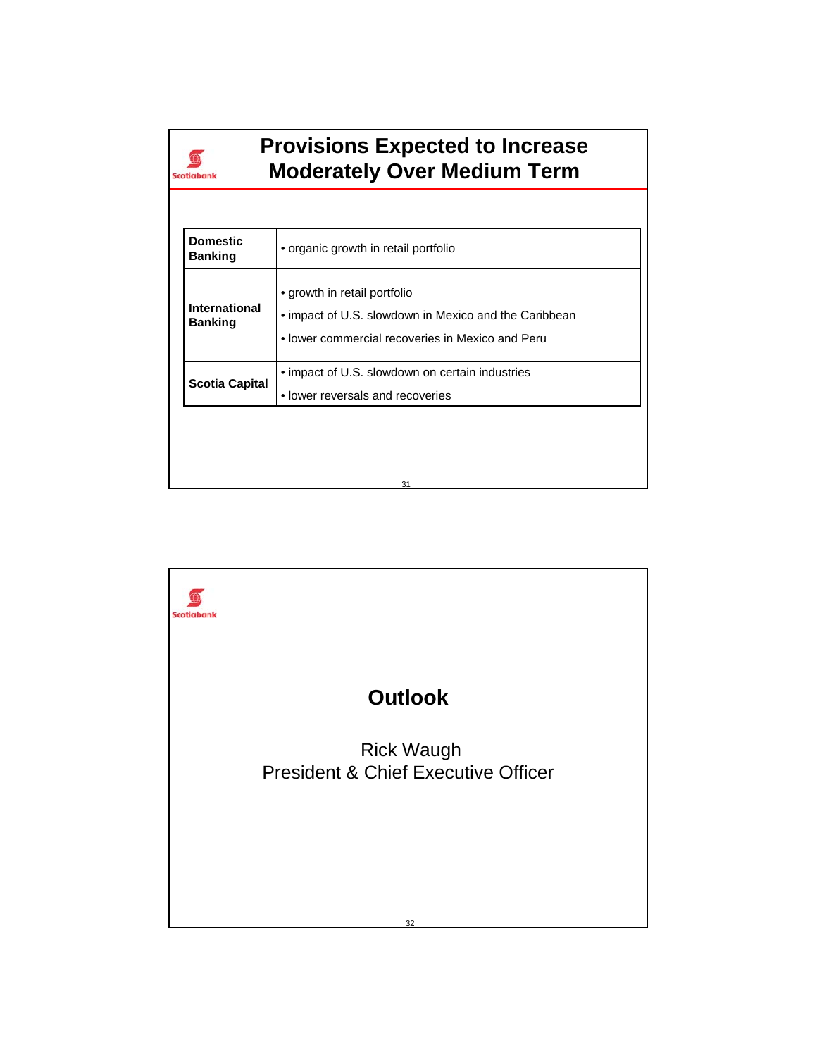| Scotiabank                        | <b>Provisions Expected to Increase</b><br><b>Moderately Over Medium Term</b> |
|-----------------------------------|------------------------------------------------------------------------------|
|                                   |                                                                              |
| <b>Domestic</b><br><b>Banking</b> | • organic growth in retail portfolio                                         |
|                                   | $\bullet$ arowth in rotail portfolio                                         |

| <b>International</b><br><b>Banking</b> | • growth in retail portfolio<br>• impact of U.S. slowdown in Mexico and the Caribbean<br>• lower commercial recoveries in Mexico and Peru |
|----------------------------------------|-------------------------------------------------------------------------------------------------------------------------------------------|
| <b>Scotia Capital</b>                  | • impact of U.S. slowdown on certain industries<br>• lower reversals and recoveries                                                       |
|                                        |                                                                                                                                           |
|                                        | 31                                                                                                                                        |

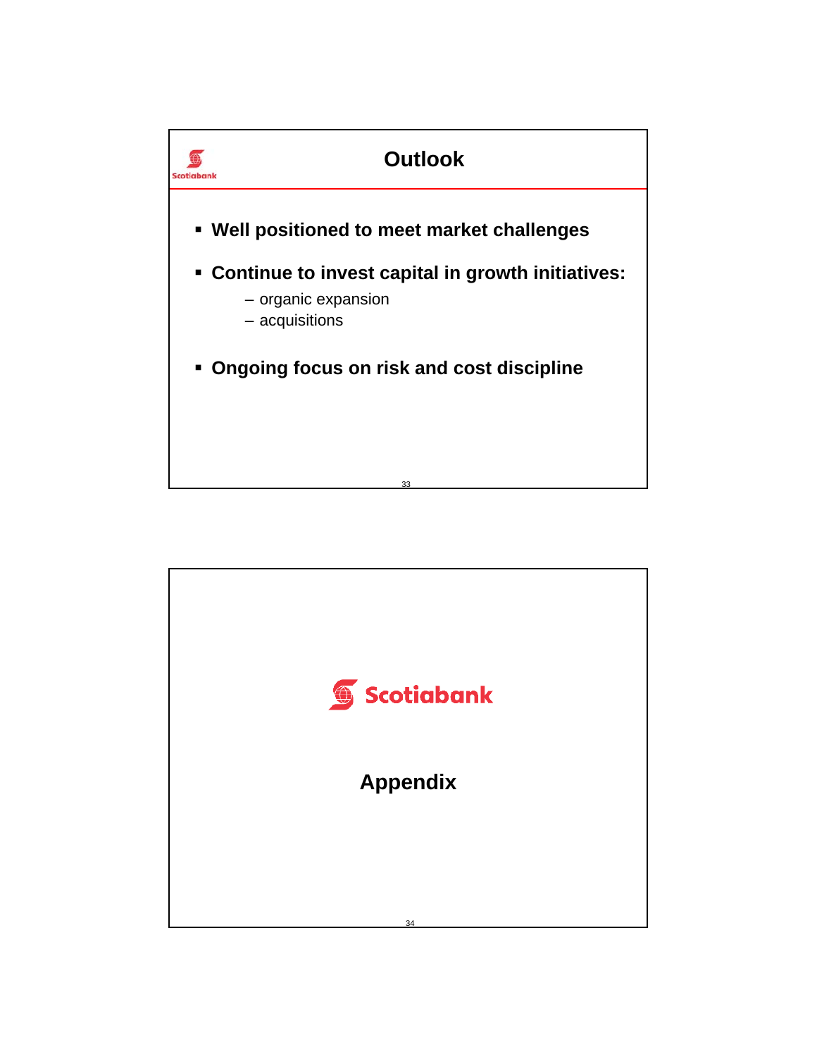

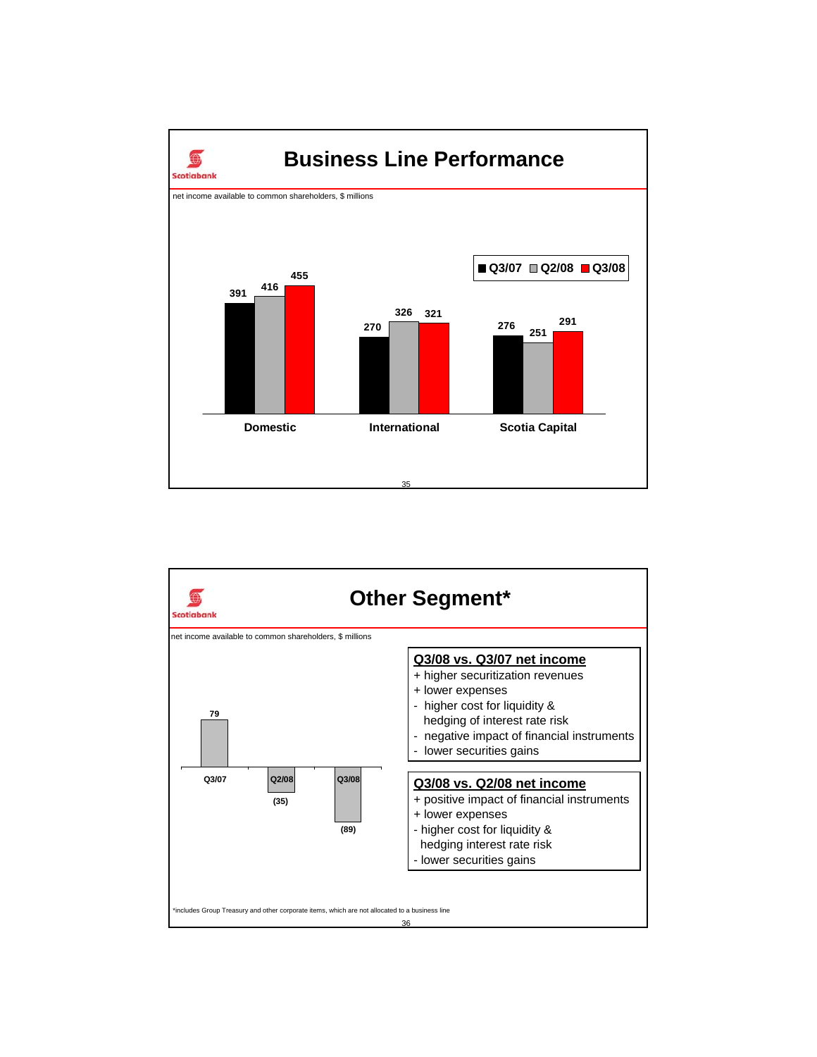

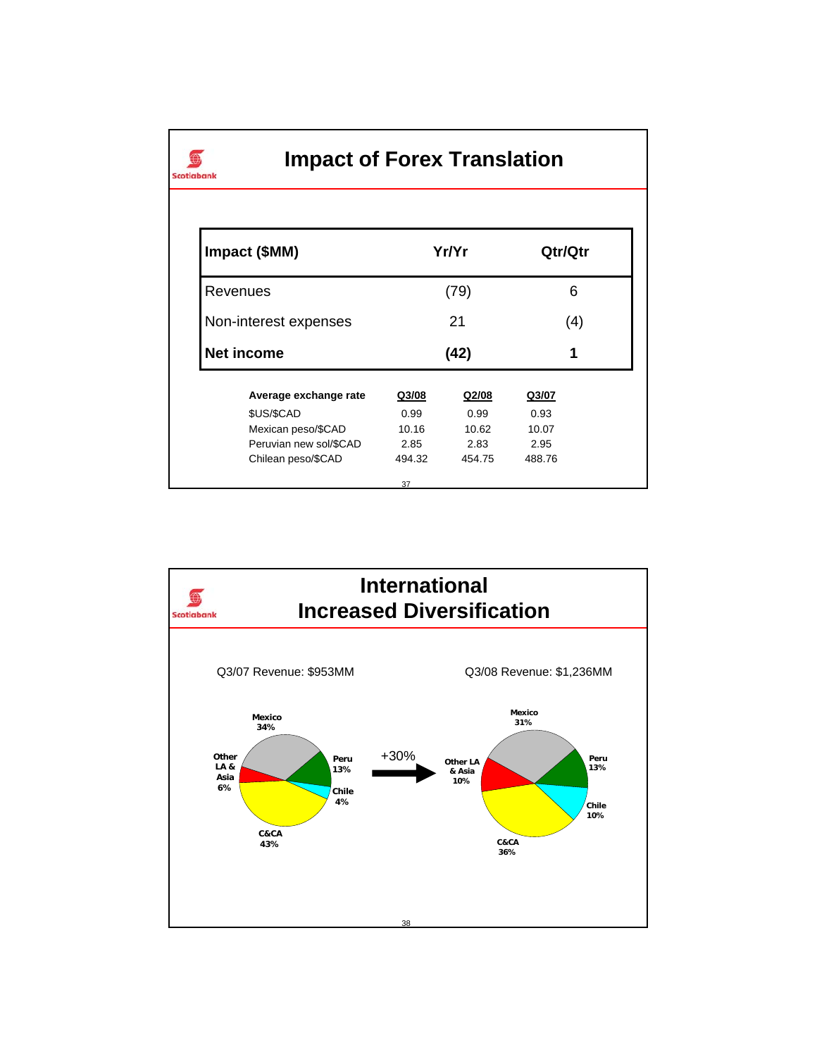## **Impact of Forex Translation**

 $\bigoplus$ Scotiabank

| Impact (\$MM)          |       | Yr/Yr |       | Qtr/Qtr |
|------------------------|-------|-------|-------|---------|
| Revenues               |       | (79)  |       | 6       |
| Non-interest expenses  | 21    |       | (4)   |         |
| Net income             | (42)  |       | 1     |         |
|                        |       |       |       |         |
| Average exchange rate  | Q3/08 | Q2/08 | Q3/07 |         |
| \$US/\$CAD             | 0.99  | 0.99  | 0.93  |         |
| Mexican peso/\$CAD     | 10.16 | 10.62 | 10.07 |         |
| Peruvian new sol/\$CAD | 2.85  | 2.83  | 2.95  |         |

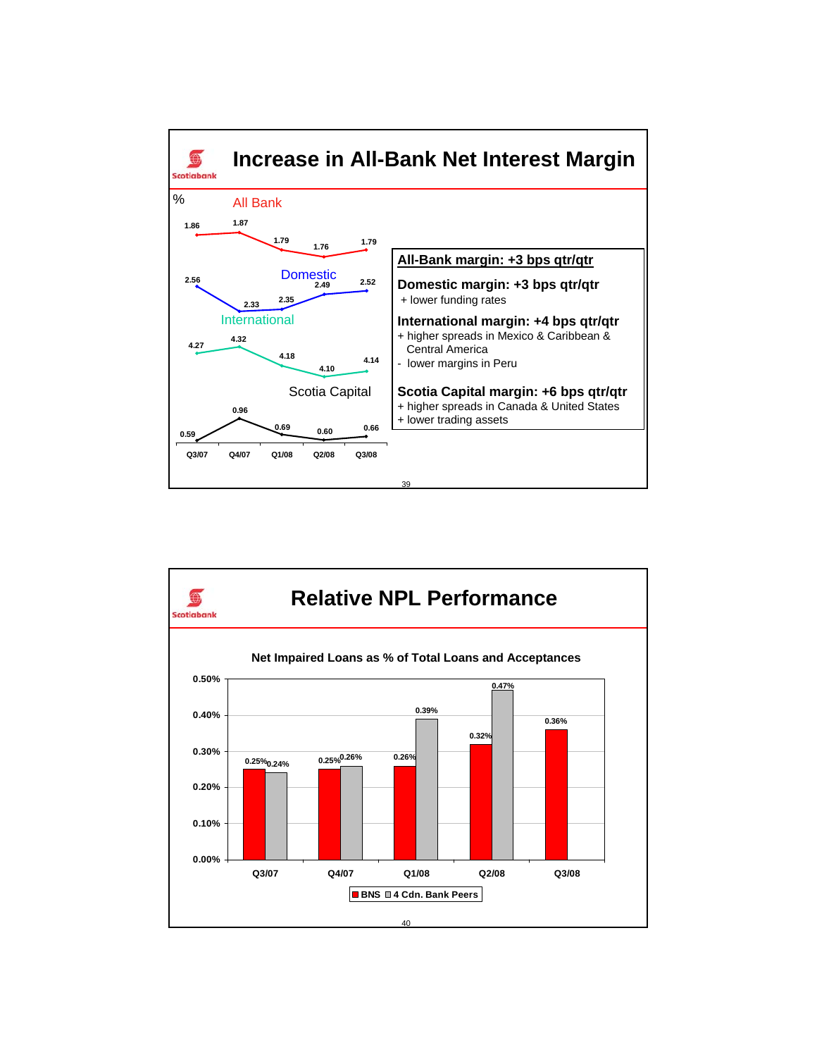

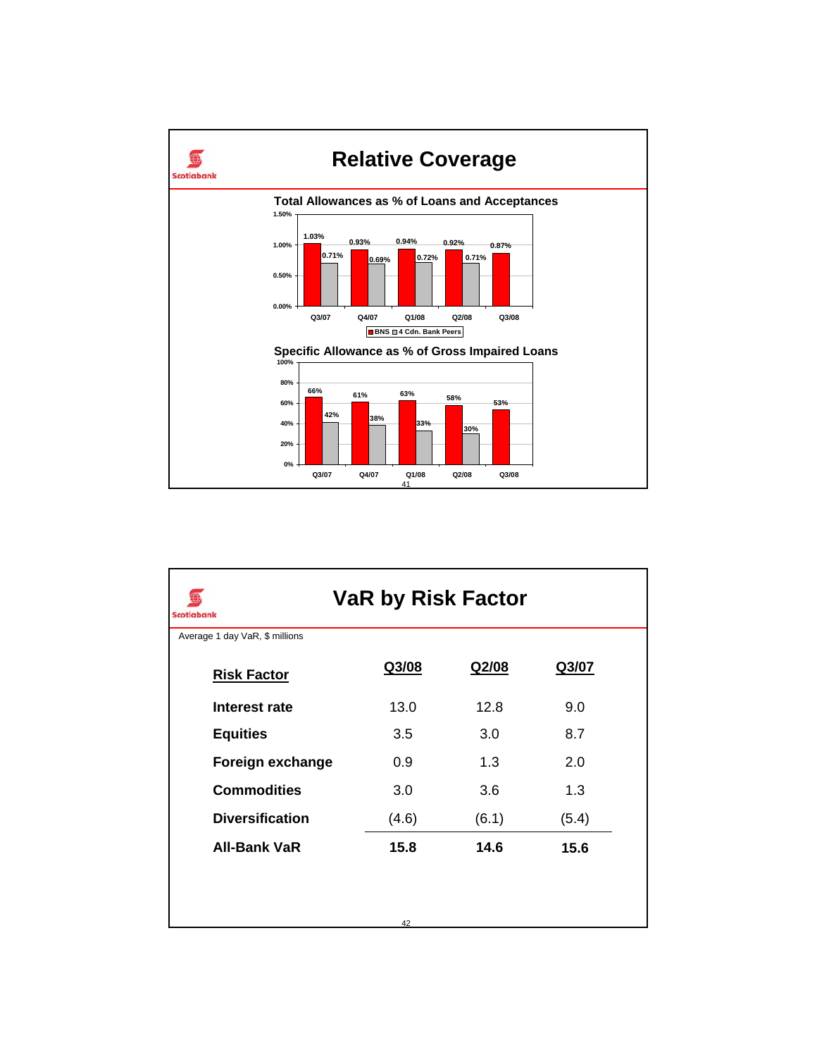

| <b>VaR by Risk Factor</b><br><b>Scotiabank</b> |       |       |       |  |  |  |  |
|------------------------------------------------|-------|-------|-------|--|--|--|--|
| Average 1 day VaR, \$ millions                 |       |       |       |  |  |  |  |
| <b>Risk Factor</b>                             | Q3/08 | Q2/08 | Q3/07 |  |  |  |  |
| Interest rate                                  | 13.0  | 12.8  | 9.0   |  |  |  |  |
| <b>Equities</b>                                | 3.5   | 3.0   | 8.7   |  |  |  |  |
| Foreign exchange                               | 0.9   | 1.3   | 2.0   |  |  |  |  |
| <b>Commodities</b>                             | 3.0   | 3.6   | 1.3   |  |  |  |  |
| <b>Diversification</b>                         | (4.6) | (6.1) | (5.4) |  |  |  |  |
| <b>All-Bank VaR</b>                            | 15.8  | 14.6  | 15.6  |  |  |  |  |
|                                                |       |       |       |  |  |  |  |
|                                                | 42    |       |       |  |  |  |  |